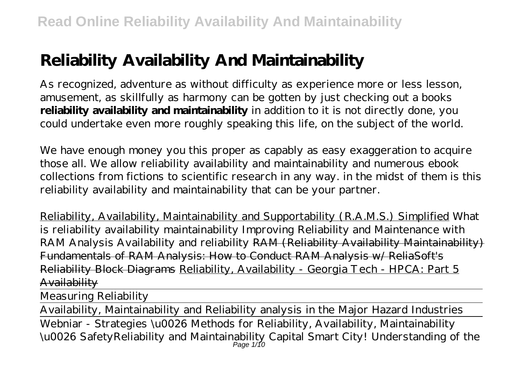# **Reliability Availability And Maintainability**

As recognized, adventure as without difficulty as experience more or less lesson, amusement, as skillfully as harmony can be gotten by just checking out a books **reliability availability and maintainability** in addition to it is not directly done, you could undertake even more roughly speaking this life, on the subject of the world.

We have enough money you this proper as capably as easy exaggeration to acquire those all. We allow reliability availability and maintainability and numerous ebook collections from fictions to scientific research in any way. in the midst of them is this reliability availability and maintainability that can be your partner.

Reliability, Availability, Maintainability and Supportability (R.A.M.S.) Simplified What is reliability availability maintainability Improving Reliability and Maintenance with RAM Analysis Availability and reliability RAM (Reliability Availability Maintainability) Fundamentals of RAM Analysis: How to Conduct RAM Analysis w/ ReliaSoft's Reliability Block Diagrams Reliability, Availability - Georgia Tech - HPCA: Part 5 Availability

Measuring Reliability

Availability, Maintainability and Reliability analysis in the Major Hazard Industries Webniar - Strategies \u0026 Methods for Reliability, Availability, Maintainability \u0026 Safety*Reliability and Maintainability Capital Smart City! Understanding of the* Page 1/10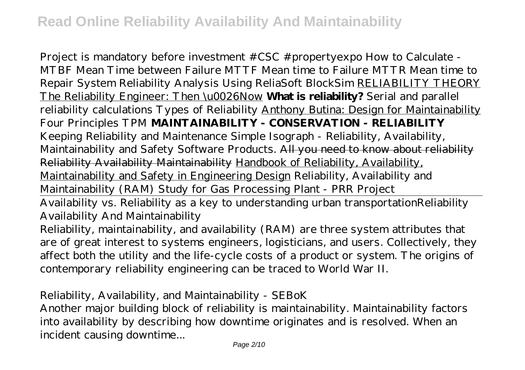*Project is mandatory before investment #CSC #propertyexpo* How to Calculate - MTBF Mean Time between Failure MTTF Mean time to Failure MTTR Mean time to Repair *System Reliability Analysis Using ReliaSoft BlockSim* RELIABILITY THEORY The Reliability Engineer: Then \u0026Now **What is reliability?** *Serial and parallel reliability calculations* Types of Reliability Anthony Butina: Design for Maintainability *Four Principles TPM* **MAINTAINABILITY - CONSERVATION - RELIABILITY** *Keeping Reliability and Maintenance Simple Isograph - Reliability, Availability, Maintainability and Safety Software Products.* All you need to know about reliability Reliability Availability Maintainability Handbook of Reliability, Availability, Maintainability and Safety in Engineering Design Reliability, Availability and Maintainability (RAM) Study for Gas Processing Plant - PRR Project

Availability vs. Reliability as a key to understanding urban transportation*Reliability Availability And Maintainability*

Reliability, maintainability, and availability (RAM) are three system attributes that are of great interest to systems engineers, logisticians, and users. Collectively, they affect both the utility and the life-cycle costs of a product or system. The origins of contemporary reliability engineering can be traced to World War II.

#### *Reliability, Availability, and Maintainability - SEBoK*

Another major building block of reliability is maintainability. Maintainability factors into availability by describing how downtime originates and is resolved. When an incident causing downtime...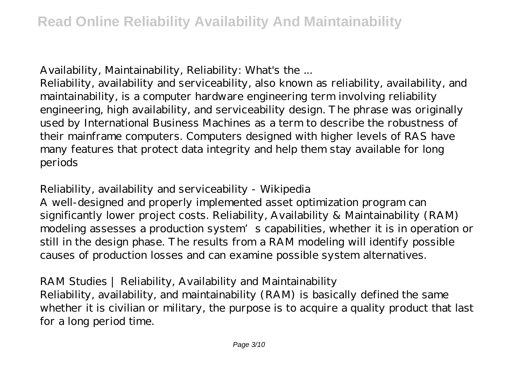### *Availability, Maintainability, Reliability: What's the ...*

Reliability, availability and serviceability, also known as reliability, availability, and maintainability, is a computer hardware engineering term involving reliability engineering, high availability, and serviceability design. The phrase was originally used by International Business Machines as a term to describe the robustness of their mainframe computers. Computers designed with higher levels of RAS have many features that protect data integrity and help them stay available for long periods

#### *Reliability, availability and serviceability - Wikipedia*

A well-designed and properly implemented asset optimization program can significantly lower project costs. Reliability, Availability & Maintainability (RAM) modeling assesses a production system's capabilities, whether it is in operation or still in the design phase. The results from a RAM modeling will identify possible causes of production losses and can examine possible system alternatives.

#### *RAM Studies | Reliability, Availability and Maintainability*

Reliability, availability, and maintainability (RAM) is basically defined the same whether it is civilian or military, the purpose is to acquire a quality product that last for a long period time.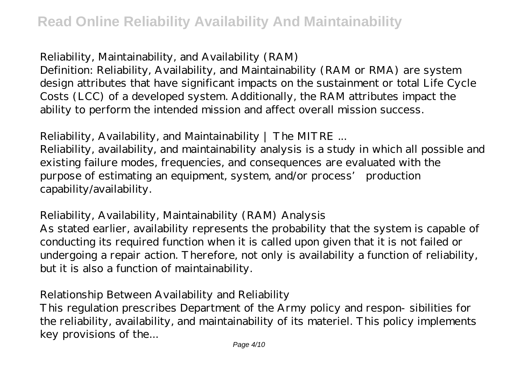#### *Reliability, Maintainability, and Availability (RAM)*

Definition: Reliability, Availability, and Maintainability (RAM or RMA) are system design attributes that have significant impacts on the sustainment or total Life Cycle Costs (LCC) of a developed system. Additionally, the RAM attributes impact the ability to perform the intended mission and affect overall mission success.

#### *Reliability, Availability, and Maintainability | The MITRE ...*

Reliability, availability, and maintainability analysis is a study in which all possible and existing failure modes, frequencies, and consequences are evaluated with the purpose of estimating an equipment, system, and/or process' production capability/availability.

#### *Reliability, Availability, Maintainability (RAM) Analysis*

As stated earlier, availability represents the probability that the system is capable of conducting its required function when it is called upon given that it is not failed or undergoing a repair action. Therefore, not only is availability a function of reliability, but it is also a function of maintainability.

#### *Relationship Between Availability and Reliability*

This regulation prescribes Department of the Army policy and respon- sibilities for the reliability, availability, and maintainability of its materiel. This policy implements key provisions of the...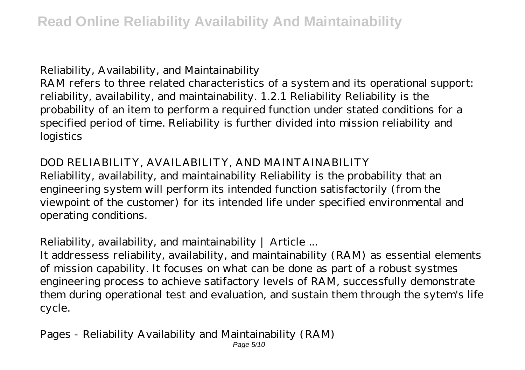#### *Reliability, Availability, and Maintainability*

RAM refers to three related characteristics of a system and its operational support: reliability, availability, and maintainability. 1.2.1 Reliability Reliability is the probability of an item to perform a required function under stated conditions for a specified period of time. Reliability is further divided into mission reliability and logistics

#### *DOD RELIABILITY, AVAILABILITY, AND MAINTAINABILITY*

Reliability, availability, and maintainability Reliability is the probability that an engineering system will perform its intended function satisfactorily (from the viewpoint of the customer) for its intended life under specified environmental and operating conditions.

#### *Reliability, availability, and maintainability | Article ...*

It addressess reliability, availability, and maintainability (RAM) as essential elements of mission capability. It focuses on what can be done as part of a robust systmes engineering process to achieve satifactory levels of RAM, successfully demonstrate them during operational test and evaluation, and sustain them through the sytem's life cycle.

#### *Pages - Reliability Availability and Maintainability (RAM)* Page 5/10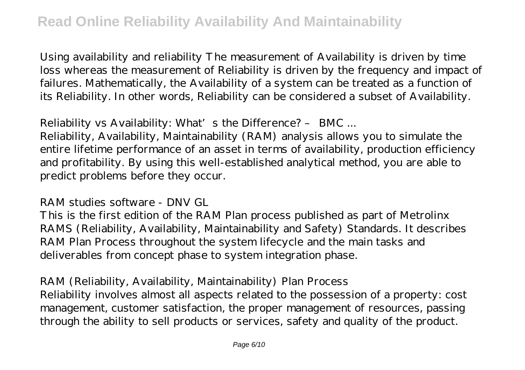Using availability and reliability The measurement of Availability is driven by time loss whereas the measurement of Reliability is driven by the frequency and impact of failures. Mathematically, the Availability of a system can be treated as a function of its Reliability. In other words, Reliability can be considered a subset of Availability.

#### *Reliability vs Availability: What's the Difference? – BMC ...*

Reliability, Availability, Maintainability (RAM) analysis allows you to simulate the entire lifetime performance of an asset in terms of availability, production efficiency and profitability. By using this well-established analytical method, you are able to predict problems before they occur.

#### *RAM studies software - DNV GL*

This is the first edition of the RAM Plan process published as part of Metrolinx RAMS (Reliability, Availability, Maintainability and Safety) Standards. It describes RAM Plan Process throughout the system lifecycle and the main tasks and deliverables from concept phase to system integration phase.

#### *RAM (Reliability, Availability, Maintainability) Plan Process*

Reliability involves almost all aspects related to the possession of a property: cost management, customer satisfaction, the proper management of resources, passing through the ability to sell products or services, safety and quality of the product.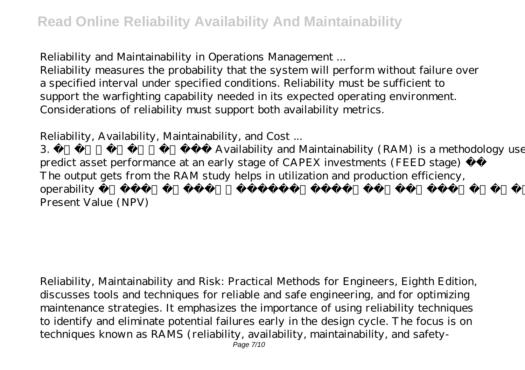#### *Reliability and Maintainability in Operations Management ...*

Reliability measures the probability that the system will perform without failure over a specified interval under specified conditions. Reliability must be sufficient to support the warfighting capability needed in its expected operating environment. Considerations of reliability must support both availability metrics.

### *Reliability, Availability, Maintainability, and Cost ...*

3. Reliability, Availability and Maintainability (RAM) is a methodology used to predict asset performance at an early stage of CAPEX investments (FEED stage) The output gets from the RAM study helps in utilization and production efficiency, operability The end result helps in estimating investment returns in terms of Net Present Value (NPV)

Reliability, Maintainability and Risk: Practical Methods for Engineers, Eighth Edition, discusses tools and techniques for reliable and safe engineering, and for optimizing maintenance strategies. It emphasizes the importance of using reliability techniques to identify and eliminate potential failures early in the design cycle. The focus is on techniques known as RAMS (reliability, availability, maintainability, and safety-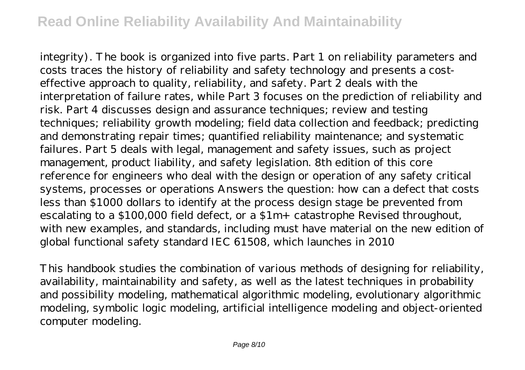integrity). The book is organized into five parts. Part 1 on reliability parameters and costs traces the history of reliability and safety technology and presents a costeffective approach to quality, reliability, and safety. Part 2 deals with the interpretation of failure rates, while Part 3 focuses on the prediction of reliability and risk. Part 4 discusses design and assurance techniques; review and testing techniques; reliability growth modeling; field data collection and feedback; predicting and demonstrating repair times; quantified reliability maintenance; and systematic failures. Part 5 deals with legal, management and safety issues, such as project management, product liability, and safety legislation. 8th edition of this core reference for engineers who deal with the design or operation of any safety critical systems, processes or operations Answers the question: how can a defect that costs less than \$1000 dollars to identify at the process design stage be prevented from escalating to a \$100,000 field defect, or a \$1m+ catastrophe Revised throughout, with new examples, and standards, including must have material on the new edition of global functional safety standard IEC 61508, which launches in 2010

This handbook studies the combination of various methods of designing for reliability, availability, maintainability and safety, as well as the latest techniques in probability and possibility modeling, mathematical algorithmic modeling, evolutionary algorithmic modeling, symbolic logic modeling, artificial intelligence modeling and object-oriented computer modeling.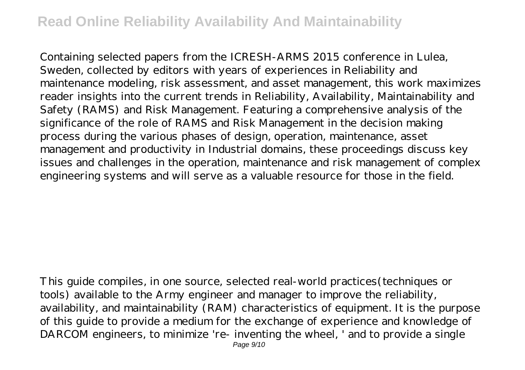Containing selected papers from the ICRESH-ARMS 2015 conference in Lulea, Sweden, collected by editors with years of experiences in Reliability and maintenance modeling, risk assessment, and asset management, this work maximizes reader insights into the current trends in Reliability, Availability, Maintainability and Safety (RAMS) and Risk Management. Featuring a comprehensive analysis of the significance of the role of RAMS and Risk Management in the decision making process during the various phases of design, operation, maintenance, asset management and productivity in Industrial domains, these proceedings discuss key issues and challenges in the operation, maintenance and risk management of complex engineering systems and will serve as a valuable resource for those in the field.

This guide compiles, in one source, selected real-world practices(techniques or tools) available to the Army engineer and manager to improve the reliability, availability, and maintainability (RAM) characteristics of equipment. It is the purpose of this guide to provide a medium for the exchange of experience and knowledge of DARCOM engineers, to minimize 're- inventing the wheel, ' and to provide a single